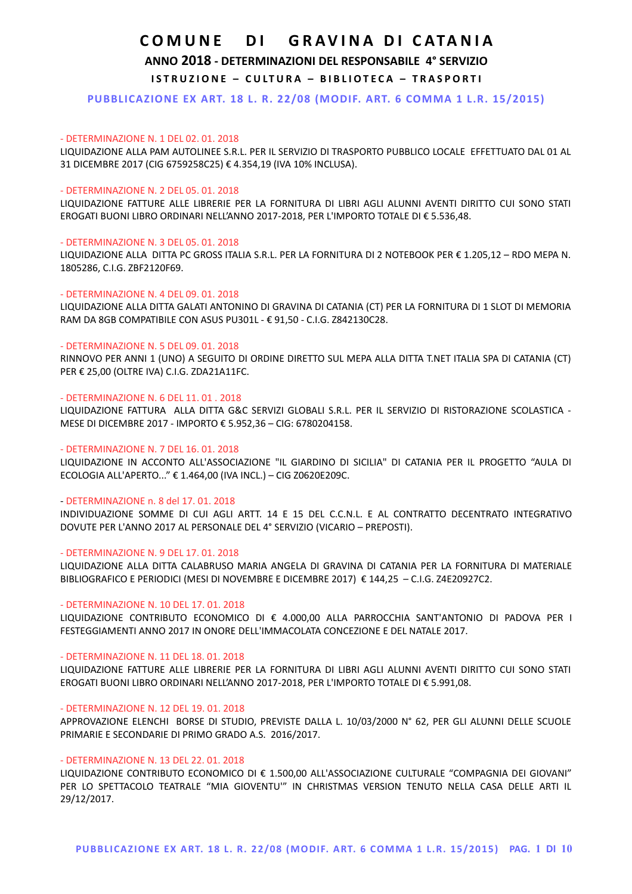## **ANNO 2018 - DETERMINAZIONI DEL RESPONSABILE 4° SERVIZIO**

**ISTRUZIONE - CULTURA - BIBLIOTECA - TRASPORTI** 

**PUBBLICAZIONE EX ART. 18 L. R. 22/08 (MODIF. ART. 6 COMMA 1 L.R. 15/2015)**

## - DETERMINAZIONE N. 1 DEL 02. 01. 2018

LIQUIDAZIONE ALLA PAM AUTOLINEE S.R.L. PER IL SERVIZIO DI TRASPORTO PUBBLICO LOCALE EFFETTUATO DAL 01 AL 31 DICEMBRE 2017 (CIG 6759258C25) € 4.354,19 (IVA 10% INCLUSA).

## - DETERMINAZIONE N. 2 DEL 05. 01. 2018

LIQUIDAZIONE FATTURE ALLE LIBRERIE PER LA FORNITURA DI LIBRI AGLI ALUNNI AVENTI DIRITTO CUI SONO STATI EROGATI BUONI LIBRO ORDINARI NELL'ANNO 2017-2018, PER L'IMPORTO TOTALE DI € 5.536,48.

## - DETERMINAZIONE N. 3 DEL 05. 01. 2018

LIQUIDAZIONE ALLA DITTA PC GROSS ITALIA S.R.L. PER LA FORNITURA DI 2 NOTEBOOK PER € 1.205,12 – RDO MEPA N. 1805286, C.I.G. ZBF2120F69.

### - DETERMINAZIONE N. 4 DEL 09. 01. 2018

LIQUIDAZIONE ALLA DITTA GALATI ANTONINO DI GRAVINA DI CATANIA (CT) PER LA FORNITURA DI 1 SLOT DI MEMORIA RAM DA 8GB COMPATIBILE CON ASUS PU301L - € 91,50 - C.I.G. Z842130C28.

## - DETERMINAZIONE N. 5 DEL 09. 01. 2018

RINNOVO PER ANNI 1 (UNO) A SEGUITO DI ORDINE DIRETTO SUL MEPA ALLA DITTA T.NET ITALIA SPA DI CATANIA (CT) PER € 25,00 (OLTRE IVA) C.I.G. ZDA21A11FC.

## - DETERMINAZIONE N. 6 DEL 11. 01 . 2018

LIQUIDAZIONE FATTURA ALLA DITTA G&C SERVIZI GLOBALI S.R.L. PER IL SERVIZIO DI RISTORAZIONE SCOLASTICA - MESE DI DICEMBRE 2017 - IMPORTO € 5.952,36 – CIG: 6780204158.

## - DETERMINAZIONE N. 7 DEL 16. 01. 2018

LIQUIDAZIONE IN ACCONTO ALL'ASSOCIAZIONE "IL GIARDINO DI SICILIA" DI CATANIA PER IL PROGETTO "AULA DI ECOLOGIA ALL'APERTO..." € 1.464,00 (IVA INCL.) – CIG Z0620E209C.

## - DETERMINAZIONE n. 8 del 17. 01. 2018

INDIVIDUAZIONE SOMME DI CUI AGLI ARTT. 14 E 15 DEL C.C.N.L. E AL CONTRATTO DECENTRATO INTEGRATIVO DOVUTE PER L'ANNO 2017 AL PERSONALE DEL 4° SERVIZIO (VICARIO – PREPOSTI).

### - DETERMINAZIONE N. 9 DEL 17. 01. 2018

LIQUIDAZIONE ALLA DITTA CALABRUSO MARIA ANGELA DI GRAVINA DI CATANIA PER LA FORNITURA DI MATERIALE BIBLIOGRAFICO E PERIODICI (MESI DI NOVEMBRE E DICEMBRE 2017) € 144,25 – C.I.G. Z4E20927C2.

### - DETERMINAZIONE N. 10 DEL 17. 01. 2018

LIQUIDAZIONE CONTRIBUTO ECONOMICO DI € 4.000,00 ALLA PARROCCHIA SANT'ANTONIO DI PADOVA PER I FESTEGGIAMENTI ANNO 2017 IN ONORE DELL'IMMACOLATA CONCEZIONE E DEL NATALE 2017.

## - DETERMINAZIONE N. 11 DEL 18. 01. 2018

LIQUIDAZIONE FATTURE ALLE LIBRERIE PER LA FORNITURA DI LIBRI AGLI ALUNNI AVENTI DIRITTO CUI SONO STATI EROGATI BUONI LIBRO ORDINARI NELL'ANNO 2017-2018, PER L'IMPORTO TOTALE DI € 5.991,08.

## - DETERMINAZIONE N. 12 DEL 19. 01. 2018

APPROVAZIONE ELENCHI BORSE DI STUDIO, PREVISTE DALLA L. 10/03/2000 N° 62, PER GLI ALUNNI DELLE SCUOLE PRIMARIE E SECONDARIE DI PRIMO GRADO A.S. 2016/2017.

## - DETERMINAZIONE N. 13 DEL 22. 01. 2018

LIQUIDAZIONE CONTRIBUTO ECONOMICO DI € 1.500,00 ALL'ASSOCIAZIONE CULTURALE "COMPAGNIA DEI GIOVANI" PER LO SPETTACOLO TEATRALE "MIA GIOVENTU'" IN CHRISTMAS VERSION TENUTO NELLA CASA DELLE ARTI IL 29/12/2017.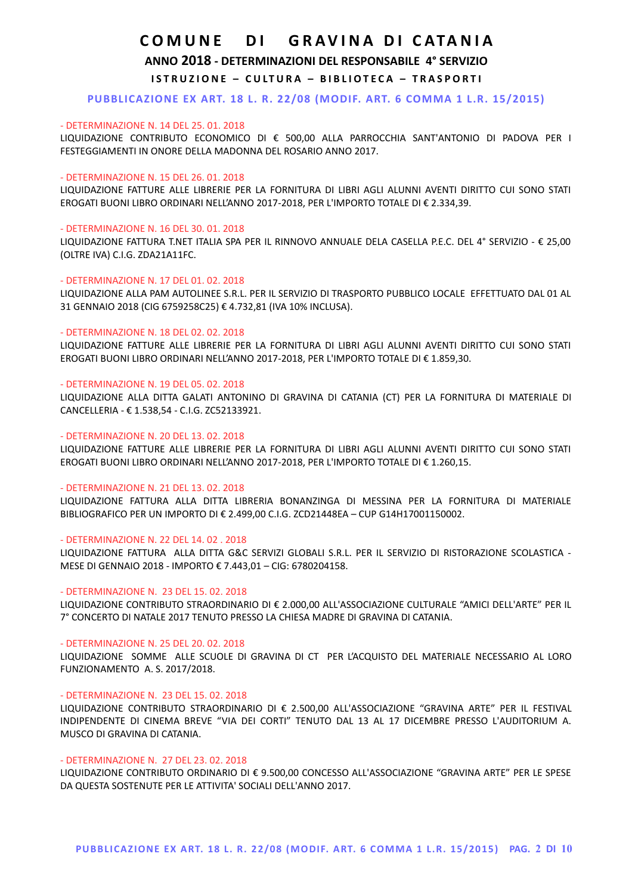**ANNO 2018 - DETERMINAZIONI DEL RESPONSABILE 4° SERVIZIO**

**ISTRUZIONE - CULTURA - BIBLIOTECA - TRASPORTI** 

**PUBBLICAZIONE EX ART. 18 L. R. 22/08 (MODIF. ART. 6 COMMA 1 L.R. 15/2015)**

### - DETERMINAZIONE N. 14 DEL 25. 01. 2018

LIQUIDAZIONE CONTRIBUTO ECONOMICO DI € 500,00 ALLA PARROCCHIA SANT'ANTONIO DI PADOVA PER I FESTEGGIAMENTI IN ONORE DELLA MADONNA DEL ROSARIO ANNO 2017.

## - DETERMINAZIONE N. 15 DEL 26. 01. 2018

LIQUIDAZIONE FATTURE ALLE LIBRERIE PER LA FORNITURA DI LIBRI AGLI ALUNNI AVENTI DIRITTO CUI SONO STATI EROGATI BUONI LIBRO ORDINARI NELL'ANNO 2017-2018, PER L'IMPORTO TOTALE DI € 2.334,39.

### - DETERMINAZIONE N. 16 DEL 30. 01. 2018

LIQUIDAZIONE FATTURA T.NET ITALIA SPA PER IL RINNOVO ANNUALE DELA CASELLA P.E.C. DEL 4° SERVIZIO - € 25,00 (OLTRE IVA) C.I.G. ZDA21A11FC.

## - DETERMINAZIONE N. 17 DEL 01. 02. 2018

LIQUIDAZIONE ALLA PAM AUTOLINEE S.R.L. PER IL SERVIZIO DI TRASPORTO PUBBLICO LOCALE EFFETTUATO DAL 01 AL 31 GENNAIO 2018 (CIG 6759258C25) € 4.732,81 (IVA 10% INCLUSA).

## - DETERMINAZIONE N. 18 DEL 02. 02. 2018

LIQUIDAZIONE FATTURE ALLE LIBRERIE PER LA FORNITURA DI LIBRI AGLI ALUNNI AVENTI DIRITTO CUI SONO STATI EROGATI BUONI LIBRO ORDINARI NELL'ANNO 2017-2018, PER L'IMPORTO TOTALE DI € 1.859,30.

### - DETERMINAZIONE N. 19 DEL 05. 02. 2018

LIQUIDAZIONE ALLA DITTA GALATI ANTONINO DI GRAVINA DI CATANIA (CT) PER LA FORNITURA DI MATERIALE DI CANCELLERIA - € 1.538,54 - C.I.G. ZC52133921.

## - DETERMINAZIONE N. 20 DEL 13. 02. 2018

LIQUIDAZIONE FATTURE ALLE LIBRERIE PER LA FORNITURA DI LIBRI AGLI ALUNNI AVENTI DIRITTO CUI SONO STATI EROGATI BUONI LIBRO ORDINARI NELL'ANNO 2017-2018, PER L'IMPORTO TOTALE DI € 1.260,15.

### - DETERMINAZIONE N. 21 DEL 13. 02. 2018

LIQUIDAZIONE FATTURA ALLA DITTA LIBRERIA BONANZINGA DI MESSINA PER LA FORNITURA DI MATERIALE BIBLIOGRAFICO PER UN IMPORTO DI € 2.499,00 C.I.G. ZCD21448EA – CUP G14H17001150002.

## - DETERMINAZIONE N. 22 DEL 14. 02 . 2018

LIQUIDAZIONE FATTURA ALLA DITTA G&C SERVIZI GLOBALI S.R.L. PER IL SERVIZIO DI RISTORAZIONE SCOLASTICA - MESE DI GENNAIO 2018 - IMPORTO € 7.443,01 – CIG: 6780204158.

### - DETERMINAZIONE N. 23 DEL 15. 02. 2018

LIQUIDAZIONE CONTRIBUTO STRAORDINARIO DI € 2.000,00 ALL'ASSOCIAZIONE CULTURALE "AMICI DELL'ARTE" PER IL 7° CONCERTO DI NATALE 2017 TENUTO PRESSO LA CHIESA MADRE DI GRAVINA DI CATANIA.

### - DETERMINAZIONE N. 25 DEL 20. 02. 2018

LIQUIDAZIONE SOMME ALLE SCUOLE DI GRAVINA DI CT PER L'ACQUISTO DEL MATERIALE NECESSARIO AL LORO FUNZIONAMENTO A. S. 2017/2018.

## - DETERMINAZIONE N. 23 DEL 15. 02. 2018

LIQUIDAZIONE CONTRIBUTO STRAORDINARIO DI € 2.500,00 ALL'ASSOCIAZIONE "GRAVINA ARTE" PER IL FESTIVAL INDIPENDENTE DI CINEMA BREVE "VIA DEI CORTI" TENUTO DAL 13 AL 17 DICEMBRE PRESSO L'AUDITORIUM A. MUSCO DI GRAVINA DI CATANIA.

## - DETERMINAZIONE N. 27 DEL 23. 02. 2018

LIQUIDAZIONE CONTRIBUTO ORDINARIO DI € 9.500,00 CONCESSO ALL'ASSOCIAZIONE "GRAVINA ARTE" PER LE SPESE DA QUESTA SOSTENUTE PER LE ATTIVITA' SOCIALI DELL'ANNO 2017.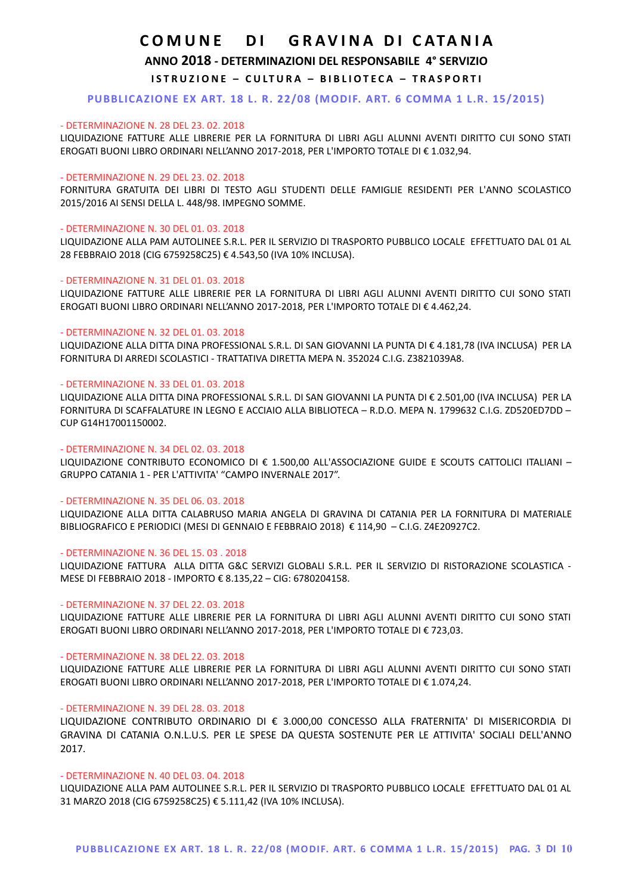## **ANNO 2018 - DETERMINAZIONI DEL RESPONSABILE 4° SERVIZIO**

## **ISTRUZIONE - CULTURA - BIBLIOTECA - TRASPORTI**

## **PUBBLICAZIONE EX ART. 18 L. R. 22/08 (MODIF. ART. 6 COMMA 1 L.R. 15/2015)**

## - DETERMINAZIONE N. 28 DEL 23. 02. 2018

LIQUIDAZIONE FATTURE ALLE LIBRERIE PER LA FORNITURA DI LIBRI AGLI ALUNNI AVENTI DIRITTO CUI SONO STATI EROGATI BUONI LIBRO ORDINARI NELL'ANNO 2017-2018, PER L'IMPORTO TOTALE DI € 1.032,94.

#### - DETERMINAZIONE N. 29 DEL 23. 02. 2018

FORNITURA GRATUITA DEI LIBRI DI TESTO AGLI STUDENTI DELLE FAMIGLIE RESIDENTI PER L'ANNO SCOLASTICO 2015/2016 AI SENSI DELLA L. 448/98. IMPEGNO SOMME.

#### - DETERMINAZIONE N. 30 DEL 01. 03. 2018

LIQUIDAZIONE ALLA PAM AUTOLINEE S.R.L. PER IL SERVIZIO DI TRASPORTO PUBBLICO LOCALE EFFETTUATO DAL 01 AL 28 FEBBRAIO 2018 (CIG 6759258C25) € 4.543,50 (IVA 10% INCLUSA).

#### - DETERMINAZIONE N. 31 DEL 01. 03. 2018

LIQUIDAZIONE FATTURE ALLE LIBRERIE PER LA FORNITURA DI LIBRI AGLI ALUNNI AVENTI DIRITTO CUI SONO STATI EROGATI BUONI LIBRO ORDINARI NELL'ANNO 2017-2018, PER L'IMPORTO TOTALE DI € 4.462,24.

#### - DETERMINAZIONE N. 32 DEL 01. 03. 2018

LIQUIDAZIONE ALLA DITTA DINA PROFESSIONAL S.R.L. DI SAN GIOVANNI LA PUNTA DI € 4.181,78 (IVA INCLUSA) PER LA FORNITURA DI ARREDI SCOLASTICI - TRATTATIVA DIRETTA MEPA N. 352024 C.I.G. Z3821039A8.

#### - DETERMINAZIONE N. 33 DEL 01. 03. 2018

LIQUIDAZIONE ALLA DITTA DINA PROFESSIONAL S.R.L. DI SAN GIOVANNI LA PUNTA DI € 2.501,00 (IVA INCLUSA) PER LA FORNITURA DI SCAFFALATURE IN LEGNO E ACCIAIO ALLA BIBLIOTECA – R.D.O. MEPA N. 1799632 C.I.G. ZD520ED7DD – CUP G14H17001150002.

## - DETERMINAZIONE N. 34 DEL 02. 03. 2018

LIQUIDAZIONE CONTRIBUTO ECONOMICO DI € 1.500,00 ALL'ASSOCIAZIONE GUIDE E SCOUTS CATTOLICI ITALIANI – GRUPPO CATANIA 1 - PER L'ATTIVITA' "CAMPO INVERNALE 2017".

#### - DETERMINAZIONE N. 35 DEL 06. 03. 2018

LIQUIDAZIONE ALLA DITTA CALABRUSO MARIA ANGELA DI GRAVINA DI CATANIA PER LA FORNITURA DI MATERIALE BIBLIOGRAFICO E PERIODICI (MESI DI GENNAIO E FEBBRAIO 2018) € 114,90 – C.I.G. Z4E20927C2.

### - DETERMINAZIONE N. 36 DEL 15. 03 . 2018

LIQUIDAZIONE FATTURA ALLA DITTA G&C SERVIZI GLOBALI S.R.L. PER IL SERVIZIO DI RISTORAZIONE SCOLASTICA - MESE DI FEBBRAIO 2018 - IMPORTO € 8.135,22 – CIG: 6780204158.

#### - DETERMINAZIONE N. 37 DEL 22. 03. 2018

LIQUIDAZIONE FATTURE ALLE LIBRERIE PER LA FORNITURA DI LIBRI AGLI ALUNNI AVENTI DIRITTO CUI SONO STATI EROGATI BUONI LIBRO ORDINARI NELL'ANNO 2017-2018, PER L'IMPORTO TOTALE DI € 723,03.

### - DETERMINAZIONE N. 38 DEL 22. 03. 2018

LIQUIDAZIONE FATTURE ALLE LIBRERIE PER LA FORNITURA DI LIBRI AGLI ALUNNI AVENTI DIRITTO CUI SONO STATI EROGATI BUONI LIBRO ORDINARI NELL'ANNO 2017-2018, PER L'IMPORTO TOTALE DI € 1.074,24.

#### - DETERMINAZIONE N. 39 DEL 28. 03. 2018

LIQUIDAZIONE CONTRIBUTO ORDINARIO DI € 3.000,00 CONCESSO ALLA FRATERNITA' DI MISERICORDIA DI GRAVINA DI CATANIA O.N.L.U.S. PER LE SPESE DA QUESTA SOSTENUTE PER LE ATTIVITA' SOCIALI DELL'ANNO 2017.

#### - DETERMINAZIONE N. 40 DEL 03. 04. 2018

LIQUIDAZIONE ALLA PAM AUTOLINEE S.R.L. PER IL SERVIZIO DI TRASPORTO PUBBLICO LOCALE EFFETTUATO DAL 01 AL 31 MARZO 2018 (CIG 6759258C25) € 5.111,42 (IVA 10% INCLUSA).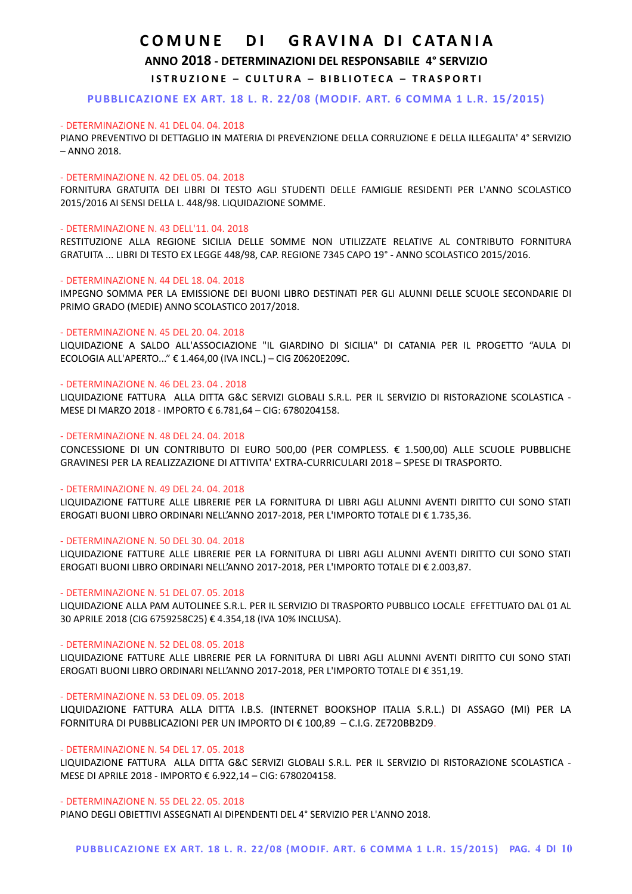**ANNO 2018 - DETERMINAZIONI DEL RESPONSABILE 4° SERVIZIO**

**ISTRUZIONE - CULTURA - BIBLIOTECA - TRASPORTI** 

**PUBBLICAZIONE EX ART. 18 L. R. 22/08 (MODIF. ART. 6 COMMA 1 L.R. 15/2015)**

#### - DETERMINAZIONE N. 41 DEL 04. 04. 2018

PIANO PREVENTIVO DI DETTAGLIO IN MATERIA DI PREVENZIONE DELLA CORRUZIONE E DELLA ILLEGALITA' 4° SERVIZIO – ANNO 2018.

## - DETERMINAZIONE N. 42 DEL 05. 04. 2018

FORNITURA GRATUITA DEI LIBRI DI TESTO AGLI STUDENTI DELLE FAMIGLIE RESIDENTI PER L'ANNO SCOLASTICO 2015/2016 AI SENSI DELLA L. 448/98. LIQUIDAZIONE SOMME.

#### - DETERMINAZIONE N. 43 DELL'11. 04. 2018

RESTITUZIONE ALLA REGIONE SICILIA DELLE SOMME NON UTILIZZATE RELATIVE AL CONTRIBUTO FORNITURA GRATUITA ... LIBRI DI TESTO EX LEGGE 448/98, CAP. REGIONE 7345 CAPO 19° - ANNO SCOLASTICO 2015/2016.

#### - DETERMINAZIONE N. 44 DEL 18. 04. 2018

IMPEGNO SOMMA PER LA EMISSIONE DEI BUONI LIBRO DESTINATI PER GLI ALUNNI DELLE SCUOLE SECONDARIE DI PRIMO GRADO (MEDIE) ANNO SCOLASTICO 2017/2018.

#### - DETERMINAZIONE N. 45 DEL 20. 04. 2018

LIQUIDAZIONE A SALDO ALL'ASSOCIAZIONE "IL GIARDINO DI SICILIA" DI CATANIA PER IL PROGETTO "AULA DI ECOLOGIA ALL'APERTO..." € 1.464,00 (IVA INCL.) – CIG Z0620E209C.

#### - DETERMINAZIONE N. 46 DEL 23. 04 . 2018

LIQUIDAZIONE FATTURA ALLA DITTA G&C SERVIZI GLOBALI S.R.L. PER IL SERVIZIO DI RISTORAZIONE SCOLASTICA - MESE DI MARZO 2018 - IMPORTO € 6.781,64 – CIG: 6780204158.

## - DETERMINAZIONE N. 48 DEL 24. 04. 2018

CONCESSIONE DI UN CONTRIBUTO DI EURO 500,00 (PER COMPLESS. € 1.500,00) ALLE SCUOLE PUBBLICHE GRAVINESI PER LA REALIZZAZIONE DI ATTIVITA' EXTRA-CURRICULARI 2018 – SPESE DI TRASPORTO.

### - DETERMINAZIONE N. 49 DEL 24. 04. 2018

LIQUIDAZIONE FATTURE ALLE LIBRERIE PER LA FORNITURA DI LIBRI AGLI ALUNNI AVENTI DIRITTO CUI SONO STATI EROGATI BUONI LIBRO ORDINARI NELL'ANNO 2017-2018, PER L'IMPORTO TOTALE DI € 1.735,36.

### - DETERMINAZIONE N. 50 DEL 30. 04. 2018

LIQUIDAZIONE FATTURE ALLE LIBRERIE PER LA FORNITURA DI LIBRI AGLI ALUNNI AVENTI DIRITTO CUI SONO STATI EROGATI BUONI LIBRO ORDINARI NELL'ANNO 2017-2018, PER L'IMPORTO TOTALE DI € 2.003,87.

#### - DETERMINAZIONE N. 51 DEL 07. 05. 2018

LIQUIDAZIONE ALLA PAM AUTOLINEE S.R.L. PER IL SERVIZIO DI TRASPORTO PUBBLICO LOCALE EFFETTUATO DAL 01 AL 30 APRILE 2018 (CIG 6759258C25) € 4.354,18 (IVA 10% INCLUSA).

## - DETERMINAZIONE N. 52 DEL 08. 05. 2018

LIQUIDAZIONE FATTURE ALLE LIBRERIE PER LA FORNITURA DI LIBRI AGLI ALUNNI AVENTI DIRITTO CUI SONO STATI EROGATI BUONI LIBRO ORDINARI NELL'ANNO 2017-2018, PER L'IMPORTO TOTALE DI € 351,19.

### - DETERMINAZIONE N. 53 DEL 09. 05. 2018

LIQUIDAZIONE FATTURA ALLA DITTA I.B.S. (INTERNET BOOKSHOP ITALIA S.R.L.) DI ASSAGO (MI) PER LA FORNITURA DI PUBBLICAZIONI PER UN IMPORTO DI € 100,89 – C.I.G. ZE720BB2D9.

## - DETERMINAZIONE N. 54 DEL 17. 05. 2018

LIQUIDAZIONE FATTURA ALLA DITTA G&C SERVIZI GLOBALI S.R.L. PER IL SERVIZIO DI RISTORAZIONE SCOLASTICA - MESE DI APRILE 2018 - IMPORTO € 6.922,14 – CIG: 6780204158.

#### - DETERMINAZIONE N. 55 DEL 22. 05. 2018

PIANO DEGLI OBIETTIVI ASSEGNATI AI DIPENDENTI DEL 4° SERVIZIO PER L'ANNO 2018.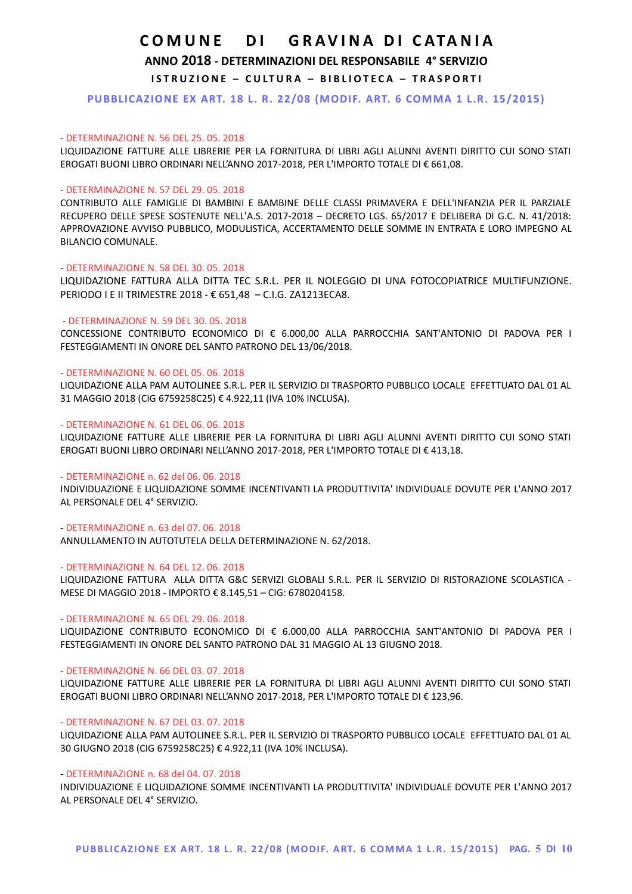## **ANNO 2018 - DETERMINAZIONI DEL RESPONSABILE 4° SERVIZIO**

**ISTRUZIONE - CULTURA - BIBLIOTECA - TRASPORTI** 

**PUBBLICAZIONE EX ART. 18 L. R. 22/08 (MODIF. ART. 6 COMMA 1 L.R. 15/2015)**

### - DETERMINAZIONE N. 56 DEL 25. 05. 2018

LIQUIDAZIONE FATTURE ALLE LIBRERIE PER LA FORNITURA DI LIBRI AGLI ALUNNI AVENTI DIRITTO CUI SONO STATI EROGATI BUONI LIBRO ORDINARI NELL'ANNO 2017-2018, PER L'IMPORTO TOTALE DI € 661,08.

#### - DETERMINAZIONE N. 57 DEL 29. 05. 2018

CONTRIBUTO ALLE FAMIGLIE DI BAMBINI E BAMBINE DELLE CLASSI PRIMAVERA E DELL'INFANZIA PER IL PARZIALE RECUPERO DELLE SPESE SOSTENUTE NELL'A.S. 2017-2018 – DECRETO LGS. 65/2017 E DELIBERA DI G.C. N. 41/2018: APPROVAZIONE AVVISO PUBBLICO, MODULISTICA, ACCERTAMENTO DELLE SOMME IN ENTRATA E LORO IMPEGNO AL BILANCIO COMUNALE.

#### - DETERMINAZIONE N. 58 DEL 30. 05. 2018

LIQUIDAZIONE FATTURA ALLA DITTA TEC S.R.L. PER IL NOLEGGIO DI UNA FOTOCOPIATRICE MULTIFUNZIONE. PERIODO I E II TRIMESTRE 2018 - € 651,48 – C.I.G. ZA1213ECA8.

## - DETERMINAZIONE N. 59 DEL 30. 05. 2018

CONCESSIONE CONTRIBUTO ECONOMICO DI € 6.000,00 ALLA PARROCCHIA SANT'ANTONIO DI PADOVA PER I FESTEGGIAMENTI IN ONORE DEL SANTO PATRONO DEL 13/06/2018.

#### - DETERMINAZIONE N. 60 DEL 05. 06. 2018

LIQUIDAZIONE ALLA PAM AUTOLINEE S.R.L. PER IL SERVIZIO DI TRASPORTO PUBBLICO LOCALE EFFETTUATO DAL 01 AL 31 MAGGIO 2018 (CIG 6759258C25) € 4.922,11 (IVA 10% INCLUSA).

#### - DETERMINAZIONE N. 61 DEL 06. 06. 2018

LIQUIDAZIONE FATTURE ALLE LIBRERIE PER LA FORNITURA DI LIBRI AGLI ALUNNI AVENTI DIRITTO CUI SONO STATI EROGATI BUONI LIBRO ORDINARI NELL'ANNO 2017-2018, PER L'IMPORTO TOTALE DI € 413,18.

#### - DETERMINAZIONE n. 62 del 06. 06. 2018

INDIVIDUAZIONE E LIQUIDAZIONE SOMME INCENTIVANTI LA PRODUTTIVITA' INDIVIDUALE DOVUTE PER L'ANNO 2017 AL PERSONALE DEL 4° SERVIZIO.

## - DETERMINAZIONE n. 63 del 07. 06. 2018

ANNULLAMENTO IN AUTOTUTELA DELLA DETERMINAZIONE N. 62/2018.

### - DETERMINAZIONE N. 64 DEL 12. 06. 2018

LIQUIDAZIONE FATTURA ALLA DITTA G&C SERVIZI GLOBALI S.R.L. PER IL SERVIZIO DI RISTORAZIONE SCOLASTICA - MESE DI MAGGIO 2018 - IMPORTO € 8.145,51 – CIG: 6780204158.

### - DETERMINAZIONE N. 65 DEL 29. 06. 2018

LIQUIDAZIONE CONTRIBUTO ECONOMICO DI € 6.000,00 ALLA PARROCCHIA SANT'ANTONIO DI PADOVA PER I FESTEGGIAMENTI IN ONORE DEL SANTO PATRONO DAL 31 MAGGIO AL 13 GIUGNO 2018.

## - DETERMINAZIONE N. 66 DEL 03. 07. 2018

LIQUIDAZIONE FATTURE ALLE LIBRERIE PER LA FORNITURA DI LIBRI AGLI ALUNNI AVENTI DIRITTO CUI SONO STATI EROGATI BUONI LIBRO ORDINARI NELL'ANNO 2017-2018, PER L'IMPORTO TOTALE DI € 123,96.

#### - DETERMINAZIONE N. 67 DEL 03. 07. 2018

LIQUIDAZIONE ALLA PAM AUTOLINEE S.R.L. PER IL SERVIZIO DI TRASPORTO PUBBLICO LOCALE EFFETTUATO DAL 01 AL 30 GIUGNO 2018 (CIG 6759258C25) € 4.922,11 (IVA 10% INCLUSA).

### - DETERMINAZIONE n. 68 del 04. 07. 2018

INDIVIDUAZIONE E LIQUIDAZIONE SOMME INCENTIVANTI LA PRODUTTIVITA' INDIVIDUALE DOVUTE PER L'ANNO 2017 AL PERSONALE DEL 4° SERVIZIO.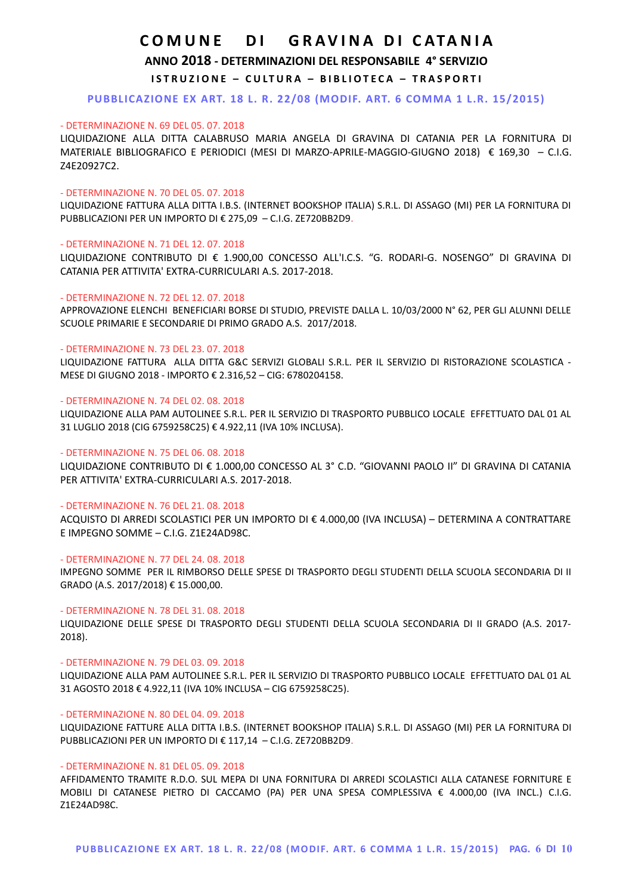**ANNO 2018 - DETERMINAZIONI DEL RESPONSABILE 4° SERVIZIO**

**ISTRUZIONE - CULTURA - BIBLIOTECA - TRASPORTI** 

**PUBBLICAZIONE EX ART. 18 L. R. 22/08 (MODIF. ART. 6 COMMA 1 L.R. 15/2015)**

#### - DETERMINAZIONE N. 69 DEL 05. 07. 2018

LIQUIDAZIONE ALLA DITTA CALABRUSO MARIA ANGELA DI GRAVINA DI CATANIA PER LA FORNITURA DI MATERIALE BIBLIOGRAFICO E PERIODICI (MESI DI MARZO-APRILE-MAGGIO-GIUGNO 2018) € 169,30 – C.I.G. Z4E20927C2.

#### - DETERMINAZIONE N. 70 DEL 05. 07. 2018

LIQUIDAZIONE FATTURA ALLA DITTA I.B.S. (INTERNET BOOKSHOP ITALIA) S.R.L. DI ASSAGO (MI) PER LA FORNITURA DI PUBBLICAZIONI PER UN IMPORTO DI € 275,09 – C.I.G. ZE720BB2D9.

#### - DETERMINAZIONE N. 71 DEL 12. 07. 2018

LIQUIDAZIONE CONTRIBUTO DI € 1.900,00 CONCESSO ALL'I.C.S. "G. RODARI-G. NOSENGO" DI GRAVINA DI CATANIA PER ATTIVITA' EXTRA-CURRICULARI A.S. 2017-2018.

## - DETERMINAZIONE N. 72 DEL 12. 07. 2018

APPROVAZIONE ELENCHI BENEFICIARI BORSE DI STUDIO, PREVISTE DALLA L. 10/03/2000 N° 62, PER GLI ALUNNI DELLE SCUOLE PRIMARIE E SECONDARIE DI PRIMO GRADO A.S. 2017/2018.

#### - DETERMINAZIONE N. 73 DEL 23. 07. 2018

LIQUIDAZIONE FATTURA ALLA DITTA G&C SERVIZI GLOBALI S.R.L. PER IL SERVIZIO DI RISTORAZIONE SCOLASTICA - MESE DI GIUGNO 2018 - IMPORTO € 2.316,52 – CIG: 6780204158.

#### - DETERMINAZIONE N. 74 DEL 02. 08. 2018

LIQUIDAZIONE ALLA PAM AUTOLINEE S.R.L. PER IL SERVIZIO DI TRASPORTO PUBBLICO LOCALE EFFETTUATO DAL 01 AL 31 LUGLIO 2018 (CIG 6759258C25) € 4.922,11 (IVA 10% INCLUSA).

#### - DETERMINAZIONE N. 75 DEL 06. 08. 2018

LIQUIDAZIONE CONTRIBUTO DI € 1.000,00 CONCESSO AL 3° C.D. "GIOVANNI PAOLO II" DI GRAVINA DI CATANIA PER ATTIVITA' EXTRA-CURRICULARI A.S. 2017-2018.

#### - DETERMINAZIONE N. 76 DEL 21. 08. 2018

ACQUISTO DI ARREDI SCOLASTICI PER UN IMPORTO DI € 4.000,00 (IVA INCLUSA) – DETERMINA A CONTRATTARE E IMPEGNO SOMME – C.I.G. Z1E24AD98C.

## - DETERMINAZIONE N. 77 DEL 24. 08. 2018

IMPEGNO SOMME PER IL RIMBORSO DELLE SPESE DI TRASPORTO DEGLI STUDENTI DELLA SCUOLA SECONDARIA DI II GRADO (A.S. 2017/2018) € 15.000,00.

## - DETERMINAZIONE N. 78 DEL 31. 08. 2018

LIQUIDAZIONE DELLE SPESE DI TRASPORTO DEGLI STUDENTI DELLA SCUOLA SECONDARIA DI II GRADO (A.S. 2017- 2018).

#### - DETERMINAZIONE N. 79 DEL 03. 09. 2018

LIQUIDAZIONE ALLA PAM AUTOLINEE S.R.L. PER IL SERVIZIO DI TRASPORTO PUBBLICO LOCALE EFFETTUATO DAL 01 AL 31 AGOSTO 2018 € 4.922,11 (IVA 10% INCLUSA – CIG 6759258C25).

### - DETERMINAZIONE N. 80 DEL 04. 09. 2018

LIQUIDAZIONE FATTURE ALLA DITTA I.B.S. (INTERNET BOOKSHOP ITALIA) S.R.L. DI ASSAGO (MI) PER LA FORNITURA DI PUBBLICAZIONI PER UN IMPORTO DI € 117,14 – C.I.G. ZE720BB2D9.

#### - DETERMINAZIONE N. 81 DEL 05. 09. 2018

AFFIDAMENTO TRAMITE R.D.O. SUL MEPA DI UNA FORNITURA DI ARREDI SCOLASTICI ALLA CATANESE FORNITURE E MOBILI DI CATANESE PIETRO DI CACCAMO (PA) PER UNA SPESA COMPLESSIVA € 4.000,00 (IVA INCL.) C.I.G. Z1E24AD98C.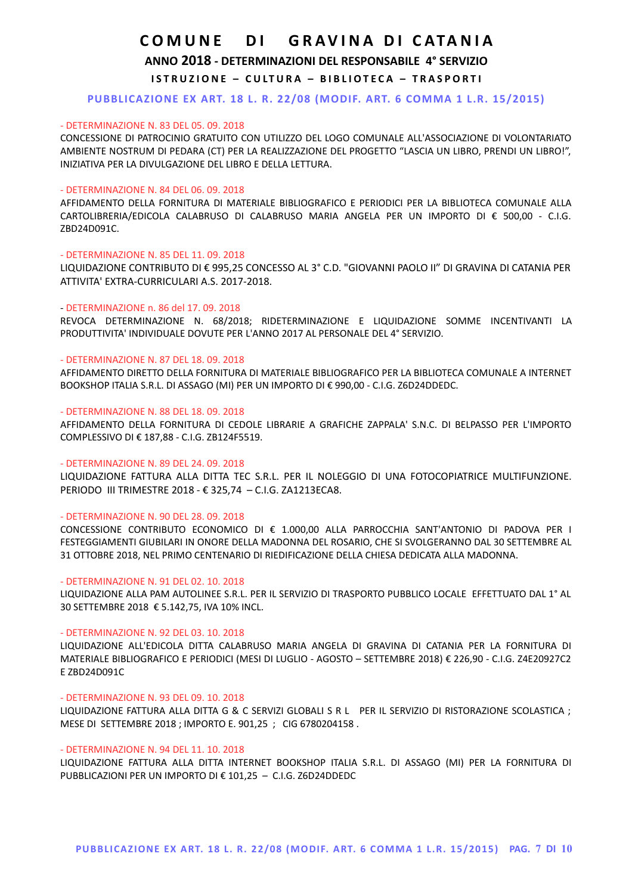## **ANNO 2018 - DETERMINAZIONI DEL RESPONSABILE 4° SERVIZIO**

**ISTRUZIONE - CULTURA - BIBLIOTECA - TRASPORTI** 

## **PUBBLICAZIONE EX ART. 18 L. R. 22/08 (MODIF. ART. 6 COMMA 1 L.R. 15/2015)**

### - DETERMINAZIONE N. 83 DEL 05. 09. 2018

CONCESSIONE DI PATROCINIO GRATUITO CON UTILIZZO DEL LOGO COMUNALE ALL'ASSOCIAZIONE DI VOLONTARIATO AMBIENTE NOSTRUM DI PEDARA (CT) PER LA REALIZZAZIONE DEL PROGETTO "LASCIA UN LIBRO, PRENDI UN LIBRO!", INIZIATIVA PER LA DIVULGAZIONE DEL LIBRO E DELLA LETTURA.

#### - DETERMINAZIONE N. 84 DEL 06. 09. 2018

AFFIDAMENTO DELLA FORNITURA DI MATERIALE BIBLIOGRAFICO E PERIODICI PER LA BIBLIOTECA COMUNALE ALLA CARTOLIBRERIA/EDICOLA CALABRUSO DI CALABRUSO MARIA ANGELA PER UN IMPORTO DI € 500,00 - C.I.G. ZBD24D091C.

## - DETERMINAZIONE N. 85 DEL 11. 09. 2018

LIQUIDAZIONE CONTRIBUTO DI € 995,25 CONCESSO AL 3° C.D. "GIOVANNI PAOLO II" DI GRAVINA DI CATANIA PER ATTIVITA' EXTRA-CURRICULARI A.S. 2017-2018.

#### - DETERMINAZIONE n. 86 del 17. 09. 2018

REVOCA DETERMINAZIONE N. 68/2018; RIDETERMINAZIONE E LIQUIDAZIONE SOMME INCENTIVANTI LA PRODUTTIVITA' INDIVIDUALE DOVUTE PER L'ANNO 2017 AL PERSONALE DEL 4° SERVIZIO.

## - DETERMINAZIONE N. 87 DEL 18. 09. 2018

AFFIDAMENTO DIRETTO DELLA FORNITURA DI MATERIALE BIBLIOGRAFICO PER LA BIBLIOTECA COMUNALE A INTERNET BOOKSHOP ITALIA S.R.L. DI ASSAGO (MI) PER UN IMPORTO DI € 990,00 - C.I.G. Z6D24DDEDC.

## - DETERMINAZIONE N. 88 DEL 18. 09. 2018

AFFIDAMENTO DELLA FORNITURA DI CEDOLE LIBRARIE A GRAFICHE ZAPPALA' S.N.C. DI BELPASSO PER L'IMPORTO COMPLESSIVO DI € 187,88 - C.I.G. ZB124F5519.

## - DETERMINAZIONE N. 89 DEL 24. 09. 2018

LIQUIDAZIONE FATTURA ALLA DITTA TEC S.R.L. PER IL NOLEGGIO DI UNA FOTOCOPIATRICE MULTIFUNZIONE. PERIODO III TRIMESTRE 2018 - € 325,74 – C.I.G. ZA1213ECA8.

### - DETERMINAZIONE N. 90 DEL 28. 09. 2018

CONCESSIONE CONTRIBUTO ECONOMICO DI € 1.000,00 ALLA PARROCCHIA SANT'ANTONIO DI PADOVA PER I FESTEGGIAMENTI GIUBILARI IN ONORE DELLA MADONNA DEL ROSARIO, CHE SI SVOLGERANNO DAL 30 SETTEMBRE AL 31 OTTOBRE 2018, NEL PRIMO CENTENARIO DI RIEDIFICAZIONE DELLA CHIESA DEDICATA ALLA MADONNA.

#### - DETERMINAZIONE N. 91 DEL 02. 10. 2018

LIQUIDAZIONE ALLA PAM AUTOLINEE S.R.L. PER IL SERVIZIO DI TRASPORTO PUBBLICO LOCALE EFFETTUATO DAL 1° AL 30 SETTEMBRE 2018 € 5.142,75, IVA 10% INCL.

#### - DETERMINAZIONE N. 92 DEL 03. 10. 2018

LIQUIDAZIONE ALL'EDICOLA DITTA CALABRUSO MARIA ANGELA DI GRAVINA DI CATANIA PER LA FORNITURA DI MATERIALE BIBLIOGRAFICO E PERIODICI (MESI DI LUGLIO - AGOSTO – SETTEMBRE 2018) € 226,90 - C.I.G. Z4E20927C2 E ZBD24D091C

#### - DETERMINAZIONE N. 93 DEL 09. 10. 2018

LIQUIDAZIONE FATTURA ALLA DITTA G & C SERVIZI GLOBALI S R L PER IL SERVIZIO DI RISTORAZIONE SCOLASTICA ; MESE DI SETTEMBRE 2018 ; IMPORTO E. 901,25 ; CIG 6780204158 .

## - DETERMINAZIONE N. 94 DEL 11. 10. 2018

LIQUIDAZIONE FATTURA ALLA DITTA INTERNET BOOKSHOP ITALIA S.R.L. DI ASSAGO (MI) PER LA FORNITURA DI PUBBLICAZIONI PER UN IMPORTO DI € 101,25 – C.I.G. Z6D24DDEDC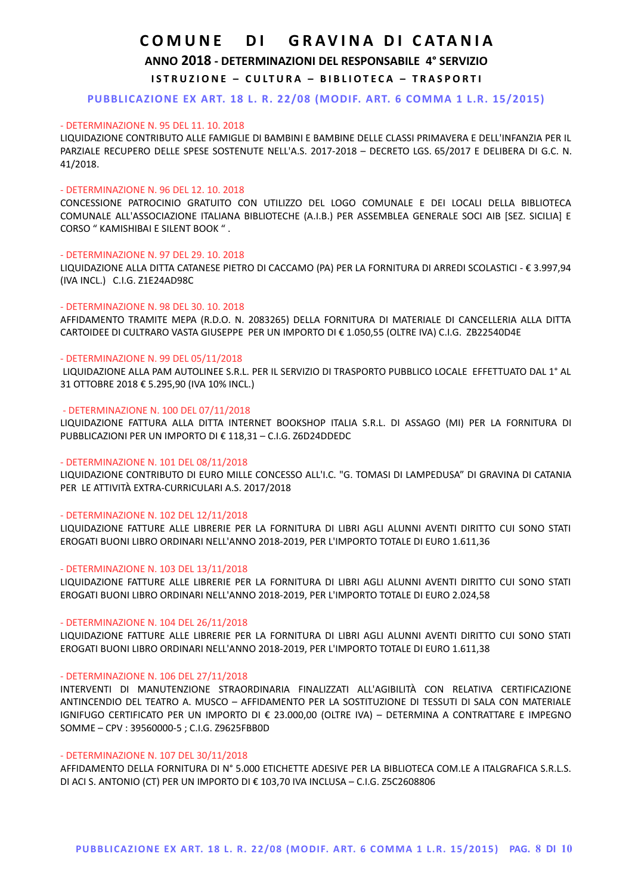## **ANNO 2018 - DETERMINAZIONI DEL RESPONSABILE 4° SERVIZIO**

**ISTRUZIONE - CULTURA - BIBLIOTECA - TRASPORTI** 

## **PUBBLICAZIONE EX ART. 18 L. R. 22/08 (MODIF. ART. 6 COMMA 1 L.R. 15/2015)**

#### - DETERMINAZIONE N. 95 DEL 11. 10. 2018

LIQUIDAZIONE CONTRIBUTO ALLE FAMIGLIE DI BAMBINI E BAMBINE DELLE CLASSI PRIMAVERA E DELL'INFANZIA PER IL PARZIALE RECUPERO DELLE SPESE SOSTENUTE NELL'A.S. 2017-2018 – DECRETO LGS. 65/2017 E DELIBERA DI G.C. N. 41/2018.

#### - DETERMINAZIONE N. 96 DEL 12. 10. 2018

CONCESSIONE PATROCINIO GRATUITO CON UTILIZZO DEL LOGO COMUNALE E DEI LOCALI DELLA BIBLIOTECA COMUNALE ALL'ASSOCIAZIONE ITALIANA BIBLIOTECHE (A.I.B.) PER ASSEMBLEA GENERALE SOCI AIB [SEZ. SICILIA] E CORSO " KAMISHIBAI E SILENT BOOK " .

### - DETERMINAZIONE N. 97 DEL 29. 10. 2018

LIQUIDAZIONE ALLA DITTA CATANESE PIETRO DI CACCAMO (PA) PER LA FORNITURA DI ARREDI SCOLASTICI - € 3.997,94 (IVA INCL.) C.I.G. Z1E24AD98C

## - DETERMINAZIONE N. 98 DEL 30. 10. 2018

AFFIDAMENTO TRAMITE MEPA (R.D.O. N. 2083265) DELLA FORNITURA DI MATERIALE DI CANCELLERIA ALLA DITTA CARTOIDEE DI CULTRARO VASTA GIUSEPPE PER UN IMPORTO DI € 1.050,55 (OLTRE IVA) C.I.G. ZB22540D4E

### - DETERMINAZIONE N. 99 DEL 05/11/2018

 LIQUIDAZIONE ALLA PAM AUTOLINEE S.R.L. PER IL SERVIZIO DI TRASPORTO PUBBLICO LOCALE EFFETTUATO DAL 1° AL 31 OTTOBRE 2018 € 5.295,90 (IVA 10% INCL.)

#### - DETERMINAZIONE N. 100 DEL 07/11/2018

LIQUIDAZIONE FATTURA ALLA DITTA INTERNET BOOKSHOP ITALIA S.R.L. DI ASSAGO (MI) PER LA FORNITURA DI PUBBLICAZIONI PER UN IMPORTO DI € 118,31 – C.I.G. Z6D24DDEDC

## - DETERMINAZIONE N. 101 DEL 08/11/2018

LIQUIDAZIONE CONTRIBUTO DI EURO MILLE CONCESSO ALL'I.C. "G. TOMASI DI LAMPEDUSA" DI GRAVINA DI CATANIA PER LE ATTIVITÀ EXTRA-CURRICULARI A.S. 2017/2018

#### - DETERMINAZIONE N. 102 DEL 12/11/2018

LIQUIDAZIONE FATTURE ALLE LIBRERIE PER LA FORNITURA DI LIBRI AGLI ALUNNI AVENTI DIRITTO CUI SONO STATI EROGATI BUONI LIBRO ORDINARI NELL'ANNO 2018-2019, PER L'IMPORTO TOTALE DI EURO 1.611,36

#### - DETERMINAZIONE N. 103 DEL 13/11/2018

LIQUIDAZIONE FATTURE ALLE LIBRERIE PER LA FORNITURA DI LIBRI AGLI ALUNNI AVENTI DIRITTO CUI SONO STATI EROGATI BUONI LIBRO ORDINARI NELL'ANNO 2018-2019, PER L'IMPORTO TOTALE DI EURO 2.024,58

#### - DETERMINAZIONE N. 104 DEL 26/11/2018

LIQUIDAZIONE FATTURE ALLE LIBRERIE PER LA FORNITURA DI LIBRI AGLI ALUNNI AVENTI DIRITTO CUI SONO STATI EROGATI BUONI LIBRO ORDINARI NELL'ANNO 2018-2019, PER L'IMPORTO TOTALE DI EURO 1.611,38

#### - DETERMINAZIONE N. 106 DEL 27/11/2018

INTERVENTI DI MANUTENZIONE STRAORDINARIA FINALIZZATI ALL'AGIBILITÀ CON RELATIVA CERTIFICAZIONE ANTINCENDIO DEL TEATRO A. MUSCO – AFFIDAMENTO PER LA SOSTITUZIONE DI TESSUTI DI SALA CON MATERIALE IGNIFUGO CERTIFICATO PER UN IMPORTO DI € 23.000,00 (OLTRE IVA) – DETERMINA A CONTRATTARE E IMPEGNO SOMME – CPV : 39560000-5 ; C.I.G. Z9625FBB0D

#### - DETERMINAZIONE N. 107 DEL 30/11/2018

AFFIDAMENTO DELLA FORNITURA DI N° 5.000 ETICHETTE ADESIVE PER LA BIBLIOTECA COM.LE A ITALGRAFICA S.R.L.S. DI ACI S. ANTONIO (CT) PER UN IMPORTO DI € 103,70 IVA INCLUSA – C.I.G. Z5C2608806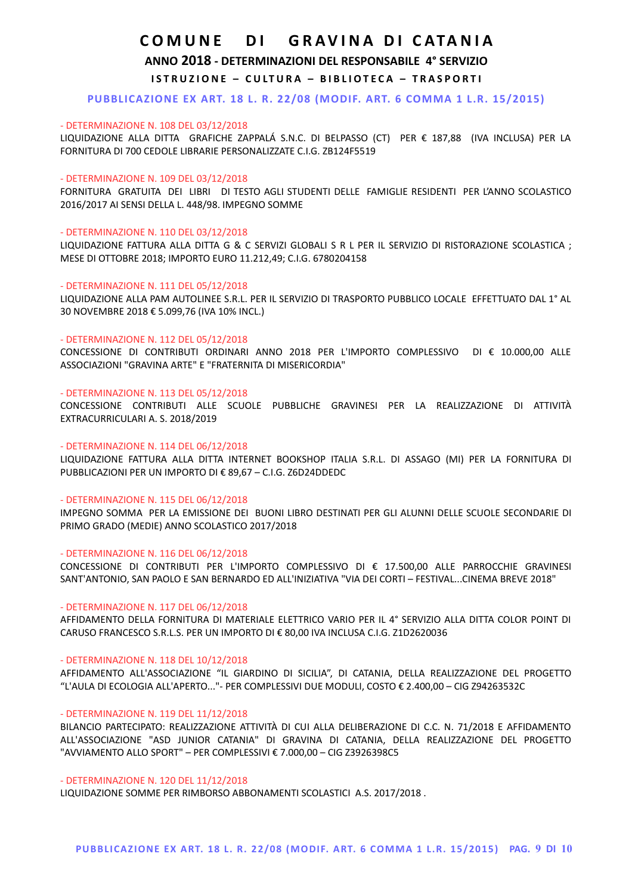**ANNO 2018 - DETERMINAZIONI DEL RESPONSABILE 4° SERVIZIO**

**ISTRUZIONE - CULTURA - BIBLIOTECA - TRASPORTI** 

**PUBBLICAZIONE EX ART. 18 L. R. 22/08 (MODIF. ART. 6 COMMA 1 L.R. 15/2015)**

## - DETERMINAZIONE N. 108 DEL 03/12/2018

LIQUIDAZIONE ALLA DITTA GRAFICHE ZAPPALÁ S.N.C. DI BELPASSO (CT) PER € 187,88 (IVA INCLUSA) PER LA FORNITURA DI 700 CEDOLE LIBRARIE PERSONALIZZATE C.I.G. ZB124F5519

## - DETERMINAZIONE N. 109 DEL 03/12/2018

FORNITURA GRATUITA DEI LIBRI DI TESTO AGLI STUDENTI DELLE FAMIGLIE RESIDENTI PER L'ANNO SCOLASTICO 2016/2017 AI SENSI DELLA L. 448/98. IMPEGNO SOMME

## - DETERMINAZIONE N. 110 DEL 03/12/2018

LIQUIDAZIONE FATTURA ALLA DITTA G & C SERVIZI GLOBALI S R L PER IL SERVIZIO DI RISTORAZIONE SCOLASTICA ; MESE DI OTTOBRE 2018; IMPORTO EURO 11.212,49; C.I.G. 6780204158

## - DETERMINAZIONE N. 111 DEL 05/12/2018

LIQUIDAZIONE ALLA PAM AUTOLINEE S.R.L. PER IL SERVIZIO DI TRASPORTO PUBBLICO LOCALE EFFETTUATO DAL 1° AL 30 NOVEMBRE 2018 € 5.099,76 (IVA 10% INCL.)

## - DETERMINAZIONE N. 112 DEL 05/12/2018

CONCESSIONE DI CONTRIBUTI ORDINARI ANNO 2018 PER L'IMPORTO COMPLESSIVO DI € 10.000,00 ALLE ASSOCIAZIONI "GRAVINA ARTE" E "FRATERNITA DI MISERICORDIA"

## - DETERMINAZIONE N. 113 DEL 05/12/2018

CONCESSIONE CONTRIBUTI ALLE SCUOLE PUBBLICHE GRAVINESI PER LA REALIZZAZIONE DI ATTIVITÀ EXTRACURRICULARI A. S. 2018/2019

## - DETERMINAZIONE N. 114 DEL 06/12/2018

LIQUIDAZIONE FATTURA ALLA DITTA INTERNET BOOKSHOP ITALIA S.R.L. DI ASSAGO (MI) PER LA FORNITURA DI PUBBLICAZIONI PER UN IMPORTO DI € 89,67 – C.I.G. Z6D24DDEDC

### - DETERMINAZIONE N. 115 DEL 06/12/2018

IMPEGNO SOMMA PER LA EMISSIONE DEI BUONI LIBRO DESTINATI PER GLI ALUNNI DELLE SCUOLE SECONDARIE DI PRIMO GRADO (MEDIE) ANNO SCOLASTICO 2017/2018

### - DETERMINAZIONE N. 116 DEL 06/12/2018

CONCESSIONE DI CONTRIBUTI PER L'IMPORTO COMPLESSIVO DI € 17.500,00 ALLE PARROCCHIE GRAVINESI SANT'ANTONIO, SAN PAOLO E SAN BERNARDO ED ALL'INIZIATIVA "VIA DEI CORTI – FESTIVAL...CINEMA BREVE 2018"

### - DETERMINAZIONE N. 117 DEL 06/12/2018

AFFIDAMENTO DELLA FORNITURA DI MATERIALE ELETTRICO VARIO PER IL 4° SERVIZIO ALLA DITTA COLOR POINT DI CARUSO FRANCESCO S.R.L.S. PER UN IMPORTO DI € 80,00 IVA INCLUSA C.I.G. Z1D2620036

### - DETERMINAZIONE N. 118 DEL 10/12/2018

AFFIDAMENTO ALL'ASSOCIAZIONE "IL GIARDINO DI SICILIA", DI CATANIA, DELLA REALIZZAZIONE DEL PROGETTO "L'AULA DI ECOLOGIA ALL'APERTO..."- PER COMPLESSIVI DUE MODULI, COSTO € 2.400,00 – CIG Z94263532C

### - DETERMINAZIONE N. 119 DEL 11/12/2018

BILANCIO PARTECIPATO: REALIZZAZIONE ATTIVITÀ DI CUI ALLA DELIBERAZIONE DI C.C. N. 71/2018 E AFFIDAMENTO ALL'ASSOCIAZIONE "ASD JUNIOR CATANIA" DI GRAVINA DI CATANIA, DELLA REALIZZAZIONE DEL PROGETTO "AVVIAMENTO ALLO SPORT" – PER COMPLESSIVI € 7.000,00 – CIG Z3926398C5

### - DETERMINAZIONE N. 120 DEL 11/12/2018

LIQUIDAZIONE SOMME PER RIMBORSO ABBONAMENTI SCOLASTICI A.S. 2017/2018 .